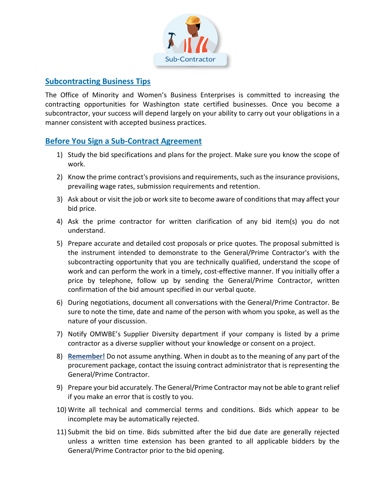

### **Subcontracting Business Tips**

The Office of Minority and Women's Business Enterprises is committed to increasing the contracting opportunities for Washington state certified businesses. Once you become a subcontractor, your success will depend largely on your ability to carry out your obligations in a manner consistent with accepted business practices.

## **Before You Sign a Sub-Contract Agreement**

- 1) Study the bid specifications and plans for the project. Make sure you know the scope of work.
- 2) Know the prime contract's provisions and requirements, such as the insurance provisions, prevailing wage rates, submission requirements and retention.
- 3) Ask about or visit the job or work site to become aware of conditions that may affect your bid price.
- 4) Ask the prime contractor for written clarification of any bid item(s) you do not understand.
- 5) Prepare accurate and detailed cost proposals or price quotes. The proposal submitted is the instrument intended to demonstrate to the General/Prime Contractor's with the subcontracting opportunity that you are technically qualified, understand the scope of work and can perform the work in a timely, cost-effective manner. If you initially offer a price by telephone, follow up by sending the General/Prime Contractor, written confirmation of the bid amount specified in our verbal quote.
- 6) During negotiations, document all conversations with the General/Prime Contractor. Be sure to note the time, date and name of the person with whom you spoke, as well as the nature of your discussion.
- 7) Notify OMWBE's Supplier Diversity department if your company is listed by a prime contractor as a diverse supplier without your knowledge or consent on a project.
- 8) **Remember!** Do not assume anything. When in doubt as to the meaning of any part of the procurement package, contact the issuing contract administrator that is representing the General/Prime Contractor.
- 9) Prepare your bid accurately. The General/Prime Contractor may not be able to grant relief if you make an error that is costly to you.
- 10) Write all technical and commercial terms and conditions. Bids which appear to be incomplete may be automatically rejected.
- 11) Submit the bid on time. Bids submitted after the bid due date are generally rejected unless a written time extension has been granted to all applicable bidders by the General/Prime Contractor prior to the bid opening.